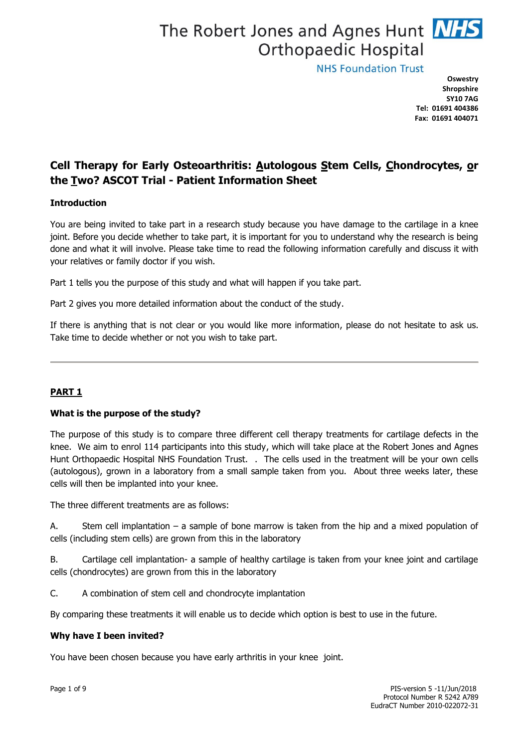# The Robert Jones and Agnes Hunt NHS **Orthopaedic Hospital**

**NHS Foundation Trust** 

**Oswestry Shropshire SY10 7AG Tel: 01691 404386 Fax: 01691 404071**

# **Cell Therapy for Early Osteoarthritis: Autologous Stem Cells, Chondrocytes, or the Two? ASCOT Trial - Patient Information Sheet**

# **Introduction**

You are being invited to take part in a research study because you have damage to the cartilage in a knee joint. Before you decide whether to take part, it is important for you to understand why the research is being done and what it will involve. Please take time to read the following information carefully and discuss it with your relatives or family doctor if you wish.

Part 1 tells you the purpose of this study and what will happen if you take part.

Part 2 gives you more detailed information about the conduct of the study.

If there is anything that is not clear or you would like more information, please do not hesitate to ask us. Take time to decide whether or not you wish to take part.

# **PART 1**

# **What is the purpose of the study?**

The purpose of this study is to compare three different cell therapy treatments for cartilage defects in the knee. We aim to enrol 114 participants into this study, which will take place at the Robert Jones and Agnes Hunt Orthopaedic Hospital NHS Foundation Trust. . The cells used in the treatment will be your own cells (autologous), grown in a laboratory from a small sample taken from you. About three weeks later, these cells will then be implanted into your knee.

The three different treatments are as follows:

A. Stem cell implantation – a sample of bone marrow is taken from the hip and a mixed population of cells (including stem cells) are grown from this in the laboratory

B. Cartilage cell implantation- a sample of healthy cartilage is taken from your knee joint and cartilage cells (chondrocytes) are grown from this in the laboratory

C. A combination of stem cell and chondrocyte implantation

By comparing these treatments it will enable us to decide which option is best to use in the future.

# **Why have I been invited?**

You have been chosen because you have early arthritis in your knee joint.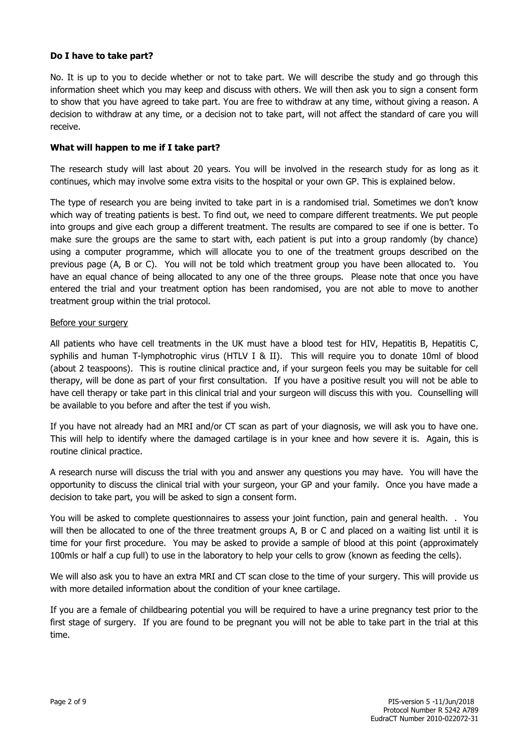# **Do I have to take part?**

No. It is up to you to decide whether or not to take part. We will describe the study and go through this information sheet which you may keep and discuss with others. We will then ask you to sign a consent form to show that you have agreed to take part. You are free to withdraw at any time, without giving a reason. A decision to withdraw at any time, or a decision not to take part, will not affect the standard of care you will receive.

# **What will happen to me if I take part?**

The research study will last about 20 years. You will be involved in the research study for as long as it continues, which may involve some extra visits to the hospital or your own GP. This is explained below.

The type of research you are being invited to take part in is a randomised trial. Sometimes we don't know which way of treating patients is best. To find out, we need to compare different treatments. We put people into groups and give each group a different treatment. The results are compared to see if one is better. To make sure the groups are the same to start with, each patient is put into a group randomly (by chance) using a computer programme, which will allocate you to one of the treatment groups described on the previous page (A, B or C). You will not be told which treatment group you have been allocated to. You have an equal chance of being allocated to any one of the three groups. Please note that once you have entered the trial and your treatment option has been randomised, you are not able to move to another treatment group within the trial protocol.

# Before your surgery

All patients who have cell treatments in the UK must have a blood test for HIV, Hepatitis B, Hepatitis C, syphilis and human T-lymphotrophic virus (HTLV I & II). This will require you to donate 10ml of blood (about 2 teaspoons). This is routine clinical practice and, if your surgeon feels you may be suitable for cell therapy, will be done as part of your first consultation. If you have a positive result you will not be able to have cell therapy or take part in this clinical trial and your surgeon will discuss this with you. Counselling will be available to you before and after the test if you wish.

If you have not already had an MRI and/or CT scan as part of your diagnosis, we will ask you to have one. This will help to identify where the damaged cartilage is in your knee and how severe it is. Again, this is routine clinical practice.

A research nurse will discuss the trial with you and answer any questions you may have. You will have the opportunity to discuss the clinical trial with your surgeon, your GP and your family. Once you have made a decision to take part, you will be asked to sign a consent form.

You will be asked to complete questionnaires to assess your joint function, pain and general health. . You will then be allocated to one of the three treatment groups A, B or C and placed on a waiting list until it is time for your first procedure. You may be asked to provide a sample of blood at this point (approximately 100mls or half a cup full) to use in the laboratory to help your cells to grow (known as feeding the cells).

We will also ask you to have an extra MRI and CT scan close to the time of your surgery. This will provide us with more detailed information about the condition of your knee cartilage.

If you are a female of childbearing potential you will be required to have a urine pregnancy test prior to the first stage of surgery. If you are found to be pregnant you will not be able to take part in the trial at this time.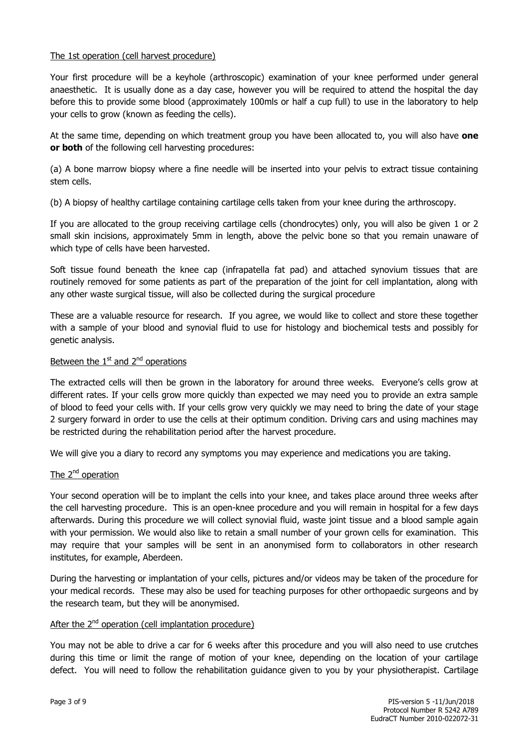# The 1st operation (cell harvest procedure)

Your first procedure will be a keyhole (arthroscopic) examination of your knee performed under general anaesthetic. It is usually done as a day case, however you will be required to attend the hospital the day before this to provide some blood (approximately 100mls or half a cup full) to use in the laboratory to help your cells to grow (known as feeding the cells).

At the same time, depending on which treatment group you have been allocated to, you will also have **one or both** of the following cell harvesting procedures:

(a) A bone marrow biopsy where a fine needle will be inserted into your pelvis to extract tissue containing stem cells.

(b) A biopsy of healthy cartilage containing cartilage cells taken from your knee during the arthroscopy.

If you are allocated to the group receiving cartilage cells (chondrocytes) only, you will also be given 1 or 2 small skin incisions, approximately 5mm in length, above the pelvic bone so that you remain unaware of which type of cells have been harvested.

Soft tissue found beneath the knee cap (infrapatella fat pad) and attached synovium tissues that are routinely removed for some patients as part of the preparation of the joint for cell implantation, along with any other waste surgical tissue, will also be collected during the surgical procedure

These are a valuable resource for research. If you agree, we would like to collect and store these together with a sample of your blood and synovial fluid to use for histology and biochemical tests and possibly for genetic analysis.

# Between the  $1<sup>st</sup>$  and  $2<sup>nd</sup>$  operations

The extracted cells will then be grown in the laboratory for around three weeks. Everyone's cells grow at different rates. If your cells grow more quickly than expected we may need you to provide an extra sample of blood to feed your cells with. If your cells grow very quickly we may need to bring the date of your stage 2 surgery forward in order to use the cells at their optimum condition. Driving cars and using machines may be restricted during the rehabilitation period after the harvest procedure.

We will give you a diary to record any symptoms you may experience and medications you are taking.

# The 2<sup>nd</sup> operation

Your second operation will be to implant the cells into your knee, and takes place around three weeks after the cell harvesting procedure. This is an open-knee procedure and you will remain in hospital for a few days afterwards. During this procedure we will collect synovial fluid, waste joint tissue and a blood sample again with your permission. We would also like to retain a small number of your grown cells for examination. This may require that your samples will be sent in an anonymised form to collaborators in other research institutes, for example, Aberdeen.

During the harvesting or implantation of your cells, pictures and/or videos may be taken of the procedure for your medical records. These may also be used for teaching purposes for other orthopaedic surgeons and by the research team, but they will be anonymised.

# After the 2<sup>nd</sup> operation (cell implantation procedure)

You may not be able to drive a car for 6 weeks after this procedure and you will also need to use crutches during this time or limit the range of motion of your knee, depending on the location of your cartilage defect. You will need to follow the rehabilitation guidance given to you by your physiotherapist. Cartilage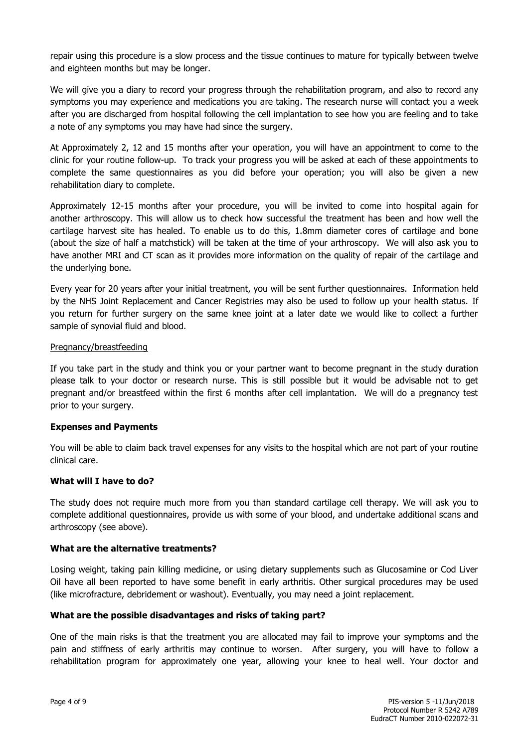repair using this procedure is a slow process and the tissue continues to mature for typically between twelve and eighteen months but may be longer.

We will give you a diary to record your progress through the rehabilitation program, and also to record any symptoms you may experience and medications you are taking. The research nurse will contact you a week after you are discharged from hospital following the cell implantation to see how you are feeling and to take a note of any symptoms you may have had since the surgery.

At Approximately 2, 12 and 15 months after your operation, you will have an appointment to come to the clinic for your routine follow-up. To track your progress you will be asked at each of these appointments to complete the same questionnaires as you did before your operation; you will also be given a new rehabilitation diary to complete.

Approximately 12-15 months after your procedure, you will be invited to come into hospital again for another arthroscopy. This will allow us to check how successful the treatment has been and how well the cartilage harvest site has healed. To enable us to do this, 1.8mm diameter cores of cartilage and bone (about the size of half a matchstick) will be taken at the time of your arthroscopy. We will also ask you to have another MRI and CT scan as it provides more information on the quality of repair of the cartilage and the underlying bone.

Every year for 20 years after your initial treatment, you will be sent further questionnaires. Information held by the NHS Joint Replacement and Cancer Registries may also be used to follow up your health status. If you return for further surgery on the same knee joint at a later date we would like to collect a further sample of synovial fluid and blood.

# Pregnancy/breastfeeding

If you take part in the study and think you or your partner want to become pregnant in the study duration please talk to your doctor or research nurse. This is still possible but it would be advisable not to get pregnant and/or breastfeed within the first 6 months after cell implantation. We will do a pregnancy test prior to your surgery.

# **Expenses and Payments**

You will be able to claim back travel expenses for any visits to the hospital which are not part of your routine clinical care.

# **What will I have to do?**

The study does not require much more from you than standard cartilage cell therapy. We will ask you to complete additional questionnaires, provide us with some of your blood, and undertake additional scans and arthroscopy (see above).

#### **What are the alternative treatments?**

Losing weight, taking pain killing medicine, or using dietary supplements such as Glucosamine or Cod Liver Oil have all been reported to have some benefit in early arthritis. Other surgical procedures may be used (like microfracture, debridement or washout). Eventually, you may need a joint replacement.

# **What are the possible disadvantages and risks of taking part?**

One of the main risks is that the treatment you are allocated may fail to improve your symptoms and the pain and stiffness of early arthritis may continue to worsen. After surgery, you will have to follow a rehabilitation program for approximately one year, allowing your knee to heal well. Your doctor and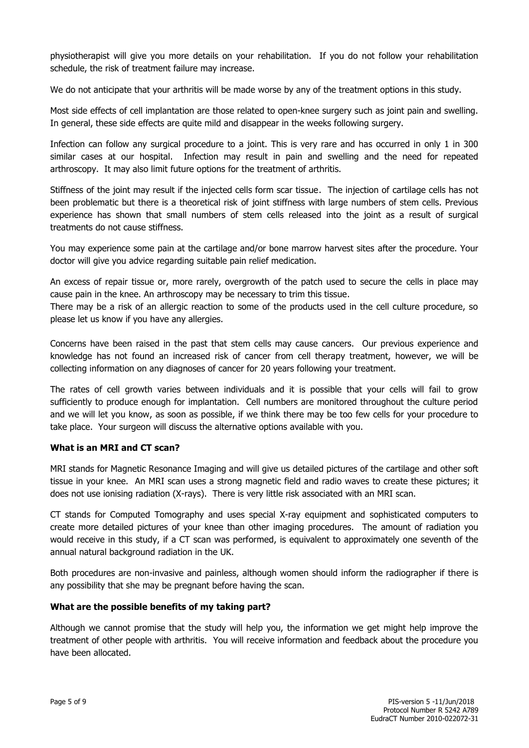physiotherapist will give you more details on your rehabilitation. If you do not follow your rehabilitation schedule, the risk of treatment failure may increase.

We do not anticipate that your arthritis will be made worse by any of the treatment options in this study.

Most side effects of cell implantation are those related to open-knee surgery such as joint pain and swelling. In general, these side effects are quite mild and disappear in the weeks following surgery.

Infection can follow any surgical procedure to a joint. This is very rare and has occurred in only 1 in 300 similar cases at our hospital. Infection may result in pain and swelling and the need for repeated arthroscopy. It may also limit future options for the treatment of arthritis.

Stiffness of the joint may result if the injected cells form scar tissue. The injection of cartilage cells has not been problematic but there is a theoretical risk of joint stiffness with large numbers of stem cells. Previous experience has shown that small numbers of stem cells released into the joint as a result of surgical treatments do not cause stiffness.

You may experience some pain at the cartilage and/or bone marrow harvest sites after the procedure. Your doctor will give you advice regarding suitable pain relief medication.

An excess of repair tissue or, more rarely, overgrowth of the patch used to secure the cells in place may cause pain in the knee. An arthroscopy may be necessary to trim this tissue.

There may be a risk of an allergic reaction to some of the products used in the cell culture procedure, so please let us know if you have any allergies.

Concerns have been raised in the past that stem cells may cause cancers. Our previous experience and knowledge has not found an increased risk of cancer from cell therapy treatment, however, we will be collecting information on any diagnoses of cancer for 20 years following your treatment.

The rates of cell growth varies between individuals and it is possible that your cells will fail to grow sufficiently to produce enough for implantation. Cell numbers are monitored throughout the culture period and we will let you know, as soon as possible, if we think there may be too few cells for your procedure to take place. Your surgeon will discuss the alternative options available with you.

# **What is an MRI and CT scan?**

MRI stands for Magnetic Resonance Imaging and will give us detailed pictures of the cartilage and other soft tissue in your knee. An MRI scan uses a strong magnetic field and radio waves to create these pictures; it does not use ionising radiation (X-rays). There is very little risk associated with an MRI scan.

CT stands for Computed Tomography and uses special X-ray equipment and sophisticated computers to create more detailed pictures of your knee than other imaging procedures. The amount of radiation you would receive in this study, if a CT scan was performed, is equivalent to approximately one seventh of the annual natural background radiation in the UK.

Both procedures are non-invasive and painless, although women should inform the radiographer if there is any possibility that she may be pregnant before having the scan.

# **What are the possible benefits of my taking part?**

Although we cannot promise that the study will help you, the information we get might help improve the treatment of other people with arthritis. You will receive information and feedback about the procedure you have been allocated.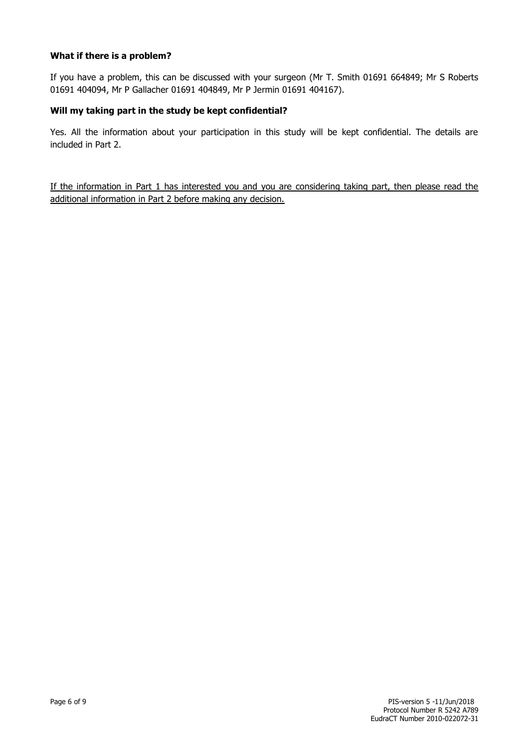# **What if there is a problem?**

If you have a problem, this can be discussed with your surgeon (Mr T. Smith 01691 664849; Mr S Roberts 01691 404094, Mr P Gallacher 01691 404849, Mr P Jermin 01691 404167).

# **Will my taking part in the study be kept confidential?**

Yes. All the information about your participation in this study will be kept confidential. The details are included in Part 2.

If the information in Part 1 has interested you and you are considering taking part, then please read the additional information in Part 2 before making any decision.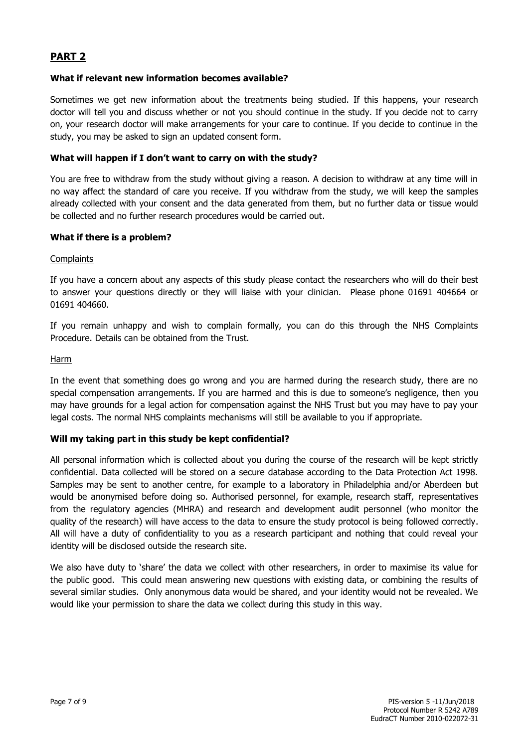# **PART 2**

# **What if relevant new information becomes available?**

Sometimes we get new information about the treatments being studied. If this happens, your research doctor will tell you and discuss whether or not you should continue in the study. If you decide not to carry on, your research doctor will make arrangements for your care to continue. If you decide to continue in the study, you may be asked to sign an updated consent form.

# **What will happen if I don't want to carry on with the study?**

You are free to withdraw from the study without giving a reason. A decision to withdraw at any time will in no way affect the standard of care you receive. If you withdraw from the study, we will keep the samples already collected with your consent and the data generated from them, but no further data or tissue would be collected and no further research procedures would be carried out.

# **What if there is a problem?**

# **Complaints**

If you have a concern about any aspects of this study please contact the researchers who will do their best to answer your questions directly or they will liaise with your clinician. Please phone 01691 404664 or 01691 404660.

If you remain unhappy and wish to complain formally, you can do this through the NHS Complaints Procedure. Details can be obtained from the Trust.

# Harm

In the event that something does go wrong and you are harmed during the research study, there are no special compensation arrangements. If you are harmed and this is due to someone's negligence, then you may have grounds for a legal action for compensation against the NHS Trust but you may have to pay your legal costs. The normal NHS complaints mechanisms will still be available to you if appropriate.

# **Will my taking part in this study be kept confidential?**

All personal information which is collected about you during the course of the research will be kept strictly confidential. Data collected will be stored on a secure database according to the Data Protection Act 1998. Samples may be sent to another centre, for example to a laboratory in Philadelphia and/or Aberdeen but would be anonymised before doing so. Authorised personnel, for example, research staff, representatives from the regulatory agencies (MHRA) and research and development audit personnel (who monitor the quality of the research) will have access to the data to ensure the study protocol is being followed correctly. All will have a duty of confidentiality to you as a research participant and nothing that could reveal your identity will be disclosed outside the research site.

We also have duty to 'share' the data we collect with other researchers, in order to maximise its value for the public good. This could mean answering new questions with existing data, or combining the results of several similar studies. Only anonymous data would be shared, and your identity would not be revealed. We would like your permission to share the data we collect during this study in this way.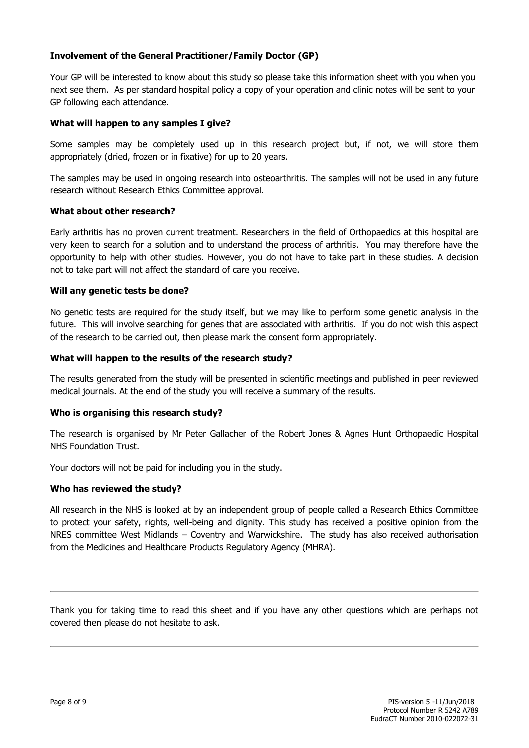# **Involvement of the General Practitioner/Family Doctor (GP)**

Your GP will be interested to know about this study so please take this information sheet with you when you next see them. As per standard hospital policy a copy of your operation and clinic notes will be sent to your GP following each attendance.

# **What will happen to any samples I give?**

Some samples may be completely used up in this research project but, if not, we will store them appropriately (dried, frozen or in fixative) for up to 20 years.

The samples may be used in ongoing research into osteoarthritis. The samples will not be used in any future research without Research Ethics Committee approval.

# **What about other research?**

Early arthritis has no proven current treatment. Researchers in the field of Orthopaedics at this hospital are very keen to search for a solution and to understand the process of arthritis. You may therefore have the opportunity to help with other studies. However, you do not have to take part in these studies. A decision not to take part will not affect the standard of care you receive.

# **Will any genetic tests be done?**

No genetic tests are required for the study itself, but we may like to perform some genetic analysis in the future. This will involve searching for genes that are associated with arthritis. If you do not wish this aspect of the research to be carried out, then please mark the consent form appropriately.

# **What will happen to the results of the research study?**

The results generated from the study will be presented in scientific meetings and published in peer reviewed medical journals. At the end of the study you will receive a summary of the results.

# **Who is organising this research study?**

The research is organised by Mr Peter Gallacher of the Robert Jones & Agnes Hunt Orthopaedic Hospital NHS Foundation Trust.

Your doctors will not be paid for including you in the study.

# **Who has reviewed the study?**

All research in the NHS is looked at by an independent group of people called a Research Ethics Committee to protect your safety, rights, well-being and dignity. This study has received a positive opinion from the NRES committee West Midlands – Coventry and Warwickshire. The study has also received authorisation from the Medicines and Healthcare Products Regulatory Agency (MHRA).

Thank you for taking time to read this sheet and if you have any other questions which are perhaps not covered then please do not hesitate to ask.